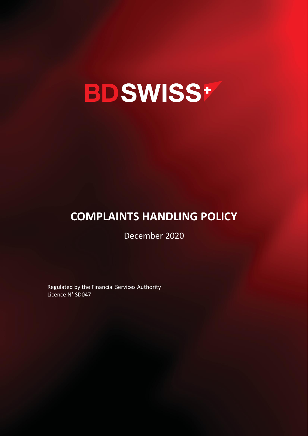

# **COMPLAINTS HANDLING POLICY**

December 2020

Regulated by the Financial Services Authority Licence N° SD047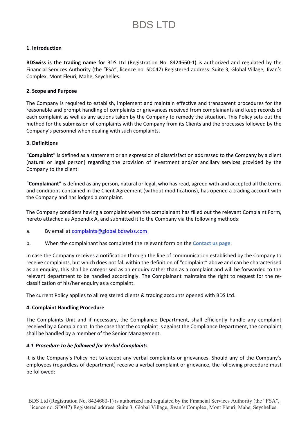### **1. Introduction**

**BDSwiss is the trading name for** BDS Ltd (Registration No. 8424660-1) is authorized and regulated by the Financial Services Authority (the "FSA", licence no. SD047) Registered address: Suite 3, Global Village, Jivan's Complex, Mont Fleuri, Mahe, Seychelles.

### **2. Scope and Purpose**

The Company is required to establish, implement and maintain effective and transparent procedures for the reasonable and prompt handling of complaints or grievances received from complainants and keep records of each complaint as well as any actions taken by the Company to remedy the situation. This Policy sets out the method for the submission of complaints with the Company from its Clients and the processes followed by the Company's personnel when dealing with such complaints.

### **3. Definitions**

"**Complaint**" is defined as a statement or an expression of dissatisfaction addressed to the Company by a client (natural or legal person) regarding the provision of investment and/or ancillary services provided by the Company to the client.

"**Complainant**" is defined as any person, natural or legal, who has read, agreed with and accepted all the terms and conditions contained in the Client Agreement (without modifications), has opened a trading account with the Company and has lodged a complaint.

The Company considers having a complaint when the complainant has filled out the relevant Complaint Form, hereto attached as Appendix A, and submitted it to the Company via the following methods:

- a. By email at [complaints@g](mailto:complaints@bdsmarkets.com)lobal.bdswiss.com
- b. When the complainant has completed the relevant form on the **Contact us page**.

In case the Company receives a notification through the line of communication established by the Company to receive complaints, but which does not fall within the definition of "complaint" above and can be characterised as an enquiry, this shall be categorised as an enquiry rather than as a complaint and will be forwarded to the relevant department to be handled accordingly. The Complainant maintains the right to request for the reclassification of his/her enquiry as a complaint.

The current Policy applies to all registered clients & trading accounts opened with BDS Ltd.

### **4. Complaint Handling Procedure**

The Complaints Unit and if necessary, the Compliance Department, shall efficiently handle any complaint received by a Complainant. In the case that the complaint is against the Compliance Department, the complaint shall be handled by a member of the Senior Management.

### *4.1 Procedure to be followed for Verbal Complaints*

It is the Company's Policy not to accept any verbal complaints or grievances. Should any of the Company's employees (regardless of department) receive a verbal complaint or grievance, the following procedure must be followed: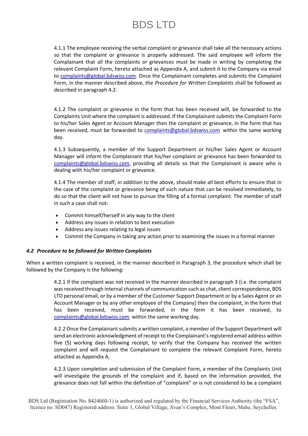4.1.1 The employee receiving the verbal complaint or grievance shall take all the necessary actions so that the complaint or grievance is properly addressed. The said employee will inform the Complainant that all the complaints or grievances must be made in writing by completing the relevant Complaint Form, hereto attached as Appendix A, and submit it to the Company via email to [complaints@g](mailto:complaints@bdsmarkets.com)lobal.bdswiss.com. Once the Complainant completes and submits the Complaint Form, in the manner described above, the *Procedure for Written Complaints* shall be followed as described in paragraph 4.2.

4.1.2 The complaint or grievance in the form that has been received will, be forwarded to the Complaints Unit where the complaint is addressed. If the Complainant submits the Complaint Form to his/her Sales Agent or Account Manager then the complaint or grievance, in the form that has been received, must be forwarded to [complaints@global.bdswiss.com](mailto:complaints@global.bdswiss.com) within the same working day.

4.1.3 Subsequently, a member of the Support Department or his/her Sales Agent or Account Manager will inform the Complainant that his/her complaint or grievance has been forwarded to [complaints@global.bdswiss.com,](mailto:complaints@global.bdswiss.com) providing all details so that the Complainant is aware who is dealing with his/her complaint or grievance.

4.1.4 The member of staff, in addition to the above, should make all best efforts to ensure that in the case of the complaint or grievance being of such nature that can be resolved immediately, to do so that the client will not have to pursue the filling of a formal complaint. The member of staff in such a case shall not:

- Commit himself/herself in any way to the client
- Address any issues in relation to best execution
- Address any issues relating to legal issues
- Commit the Company in taking any action prior to examining the issues in a formal manner

### *4.2 Procedure to be followed for Written Complaints*

When a written complaint is received, in the manner described in Paragraph 3, the procedure which shall be followed by the Company is the following:

> 4.2.1 If the complaint was not received in the manner described in paragraph 3 (i.e. the complaint was received through internal channels of communication such as chat, client correspondence, BDS LTD personal email, or by a member of the Customer Support Department or by a Sales Agent or an Account Manager or by any other employee of the Company) then the complaint, in the form that has been received, must be forwarded, in the form it has been received, to [complaints@global.bdswiss.com](mailto:complaints@global.bdswiss.com) within the same working day.

> 4.2.2 Once the Complainant submits a written complaint, a member of the Support Department will send an electronic acknowledgment of receipt to the Complainant's registered email address within five (5) working days following receipt, to verify that the Company has received the written complaint and will request the Complainant to complete the relevant Complaint Form, hereto attached as Appendix A.

> 4.2.3 Upon completion and submission of the Complaint Form, a member of the Complaints Unit will investigate the grounds of the complaint and if, based on the information provided, the grievance does not fall within the definition of "complaint" or is not considered to be a complaint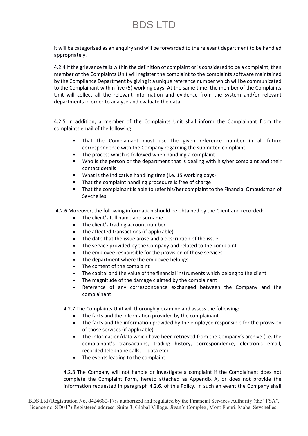it will be categorised as an enquiry and will be forwarded to the relevant department to be handled appropriately.

4.2.4 If the grievance falls within the definition of complaint or is considered to be a complaint, then member of the Complaints Unit will register the complaint to the complaints software maintained by the Compliance Department by giving it a unique reference number which will be communicated to the Complainant within five (5) working days. At the same time, the member of the Complaints Unit will collect all the relevant information and evidence from the system and/or relevant departments in order to analyse and evaluate the data.

4.2.5 In addition, a member of the Complaints Unit shall inform the Complainant from the complaints email of the following:

- That the Complainant must use the given reference number in all future correspondence with the Company regarding the submitted complaint
- The process which is followed when handling a complaint
- Who is the person or the department that is dealing with his/her complaint and their contact details
- What is the indicative handling time (i.e. 15 working days)
- That the complaint handling procedure is free of charge
- That the complainant is able to refer his/her complaint to the Financial Ombudsman of Seychelles

4.2.6 Moreover, the following information should be obtained by the Client and recorded:

- The client's full name and surname
- The client's trading account number
- The affected transactions (if applicable)
- The date that the issue arose and a description of the issue
- The service provided by the Company and related to the complaint
- The employee responsible for the provision of those services
- The department where the employee belongs
- The content of the complaint
- The capital and the value of the financial instruments which belong to the client
- The magnitude of the damage claimed by the complainant
- Reference of any correspondence exchanged between the Company and the complainant

4.2.7 The Complaints Unit will thoroughly examine and assess the following:

- The facts and the information provided by the complainant
- The facts and the information provided by the employee responsible for the provision of those services (if applicable)
- The information/data which have been retrieved from the Company's archive (i.e. the complainant's transactions, trading history, correspondence, electronic email, recorded telephone calls, IT data etc)
- The events leading to the complaint

4.2.8 The Company will not handle or investigate a complaint if the Complainant does not complete the Complaint Form, hereto attached as Appendix A, or does not provide the information requested in paragraph 4.2.6. of this Policy. In such an event the Company shall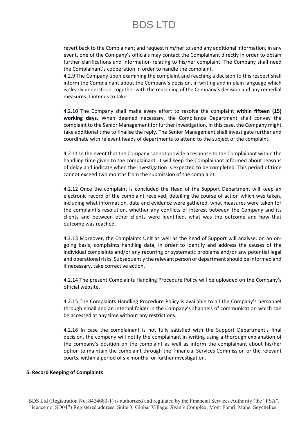revert back to the Complainant and request him/her to send any additional information. In any event, one of the Company's officials may contact the Complainant directly in order to obtain further clarifications and information relating to his/her complaint. The Company shall need the Complainant's cooperation in order to handle the complaint.

4.2.9 The Company upon examining the complaint and reaching a decision to this respect shall inform the Complainant about the Company's decision, in writing and in plain language which is clearly understood, together with the reasoning of the Company's decision and any remedial measures it intends to take.

4.2.10 The Company shall make every effort to resolve the complaint **within fifteen (15) working days.** When deemed necessary, the Compliance Department shall convey the complaint to the Senior Management for further investigation. In this case, the Company might take additional time to finalise the reply. The Senior Management shall investigate further and coordinate with relevant heads of departments to attend to the subject of the complaint.

4.2.11 In the event that the Company cannot provide a response to the Complainant within the handling time given to the complainant, it will keep the Complainant informed about reasons of delay and indicate when the investigation is expected to be completed. This period of time cannot exceed two months from the submission of the complaint.

4.2.12 Once the complaint is concluded the Head of the Support Department will keep an electronic record of the complaint received, detailing the course of action which was taken, including what information, data and evidence were gathered, what measures were taken for the complaint's resolution, whether any conflicts of interest between the Company and its clients and between other clients were identified, what was the outcome and how that outcome was reached.

4.2.13 Moreover, the Complaints Unit as well as the head of Support will analyse, on an ongoing basis, complaints handling data, in order to identify and address the causes of the individual complaints and/or any recurring or systematic problems and/or any potential legal and operational risks. Subsequently the relevant person or department should be informed and if necessary, take corrective action.

4.2.14 The present Complaints Handling Procedure Policy will be uploaded on the Company's official website.

4.2.15 The Complaints Handling Procedure Policy is available to all the Company's personnel through email and an internal folder in the Company's channels of communication which can be accessed at any time without any restrictions.

4.2.16 In case the complainant is not fully satisfied with the Support Department's final decision, the company will notify the complainant in writing using a thorough explanation of the company's position on the complaint as well as inform the complainant about his/her option to maintain the complaint through the Financial Services Commission or the relevant courts, within a period of six months for further investigation.

### **5. Record Keeping of Complaints**

BDS Ltd (Registration No. 8424660-1) is authorized and regulated by the Financial Services Authority (the "FSA", licence no. SD047) Registered address: Suite 3, Global Village, Jivan's Complex, Mont Fleuri, Mahe, Seychelles.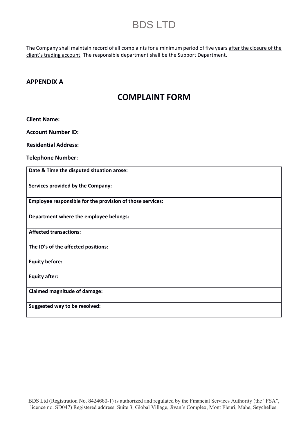The Company shall maintain record of all complaints for a minimum period of five years after the closure of the client's trading account. The responsible department shall be the Support Department.

### **APPENDIX A**

### **COMPLAINT FORM**

**Client Name:**

**Account Number ID:**

**Residential Address:**

**Telephone Number:**

| Date & Time the disputed situation arose:                 |  |
|-----------------------------------------------------------|--|
| Services provided by the Company:                         |  |
| Employee responsible for the provision of those services: |  |
| Department where the employee belongs:                    |  |
| <b>Affected transactions:</b>                             |  |
| The ID's of the affected positions:                       |  |
| <b>Equity before:</b>                                     |  |
| <b>Equity after:</b>                                      |  |
| <b>Claimed magnitude of damage:</b>                       |  |
| Suggested way to be resolved:                             |  |